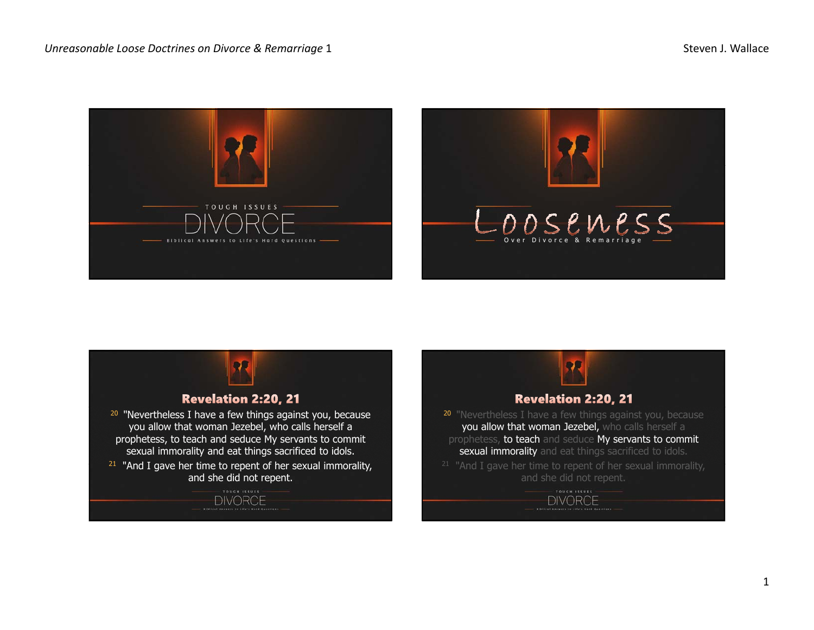



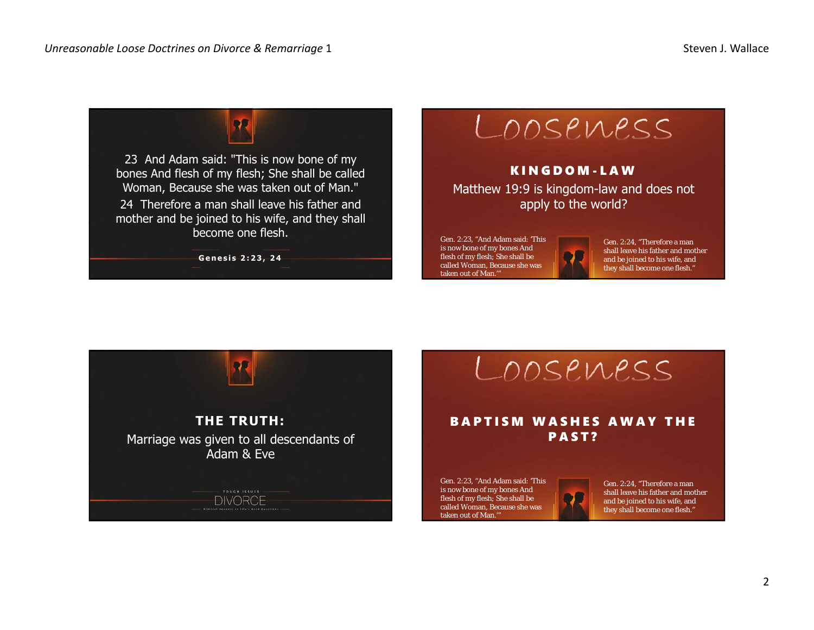



KINGDOM-LAWMatthew 19:9 is kingdom-law and does not apply to the world?

Gen. 2:23, "And Adam said: 'This is now bone of my bones And flesh of my flesh; She shall be called Woman, Because she was taken out of Man.'



Gen. 2:24, "Therefore a man shall leave his father and mother and be joined to his wife, and they shall become one flesh."



LOOSEWESS

## BAPTISM WASHES AWAY THE PAST?

Gen. 2:23, "And Adam said: 'This is now bone of my bones And flesh of my flesh; She shall be called Woman, Because she was taken out of Man.'"

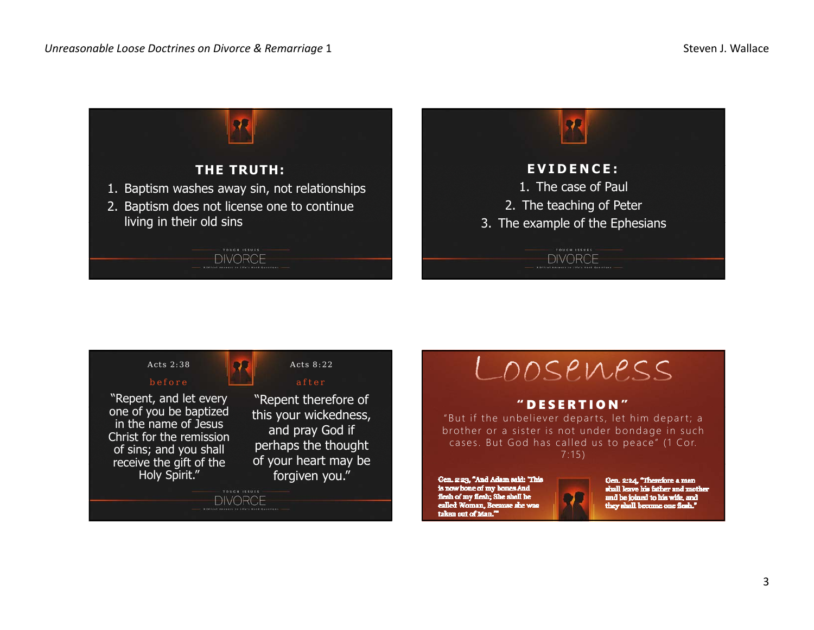



LOOSEMESS

## "DESERTION"

"But if the unbeliever departs, let him depart; a brother or a sister is not under bondage in such cases. But God has called us to peace" (1 Cor. 7:15)

Gen. 2:23, "And Adam said: 'This is now bone of my bones And flesh of my flesh; She shall be called Woman, Berause she was taken out of Man."



Gen. 2:24, "Therefore a man shall leave his father and mother and be joined to his wife, and they shall become one flesh."